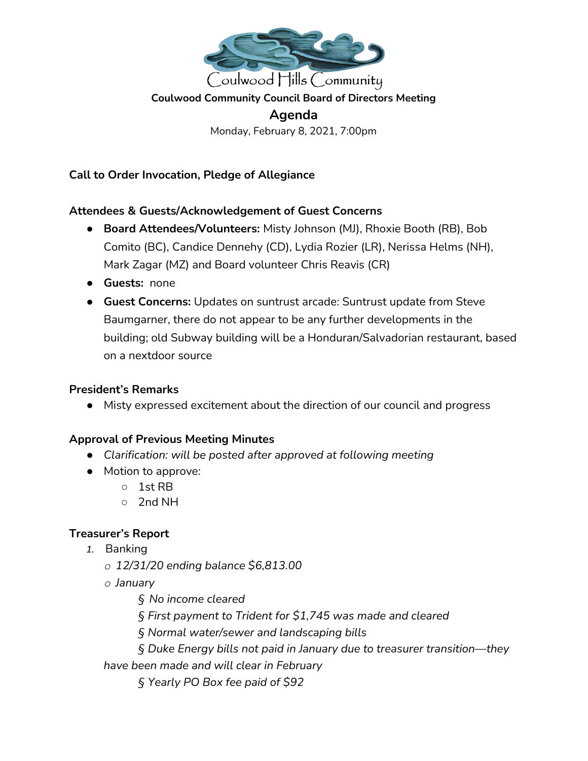

#### **Coulwood Community Council Board of Directors Meeting**

**Agenda** Monday, February 8, 2021, 7:00pm

**Call to Order Invocation, Pledge of Allegiance**

#### **Attendees & Guests/Acknowledgement of Guest Concerns**

- **● Board Attendees/Volunteers:** Misty Johnson (MJ), Rhoxie Booth (RB), Bob Comito (BC), Candice Dennehy (CD), Lydia Rozier (LR), Nerissa Helms (NH), Mark Zagar (MZ) and Board volunteer Chris Reavis (CR)
- **● Guests:** none
- **Guest Concerns:** Updates on suntrust arcade: Suntrust update from Steve Baumgarner, there do not appear to be any further developments in the building; old Subway building will be a Honduran/Salvadorian restaurant, based on a nextdoor source

#### **President's Remarks**

● Misty expressed excitement about the direction of our council and progress

### **Approval of Previous Meeting Minutes**

- *● Clarification: will be posted after approved at following meeting*
- Motion to approve:
	- 1st RB
	- 2nd NH

### **Treasurer's Report**

- *1.* Banking
	- *o 12/31/20 ending balance \$6,813.00*
	- *o January*

*§ No income cleared*

- *§ First payment to Trident for \$1,745 was made and cleared*
- *§ Normal water/sewer and landscaping bills*
- *§ Duke Energy bills not paid in January due to treasurer transition—they*

*have been made and will clear in February*

*§ Yearly PO Box fee paid of \$92*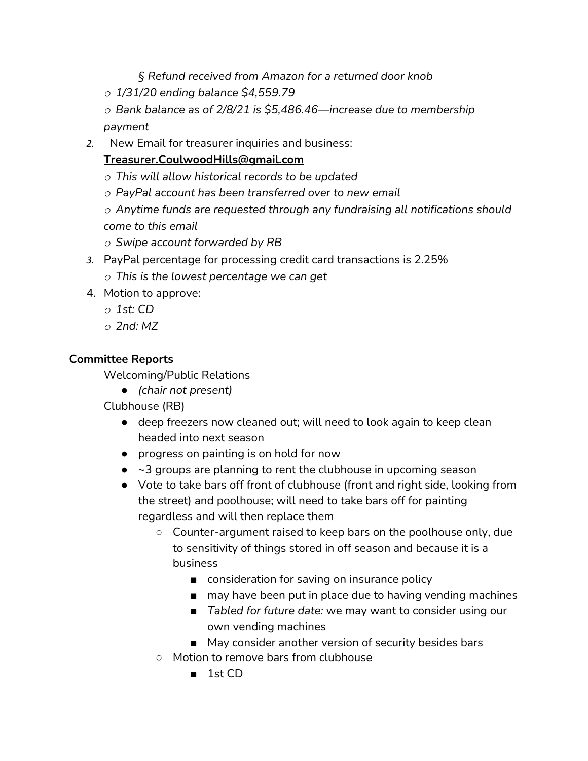*§ Refund received from Amazon for a returned door knob*

*o 1/31/20 ending balance \$4,559.79*

*o Bank balance as of 2/8/21 is \$5,486.46—increase due to membership payment*

*2.* New Email for treasurer inquiries and business:

### **Treasurer.CoulwoodHills@gmail.com**

- *o This will allow historical records to be updated*
- *o PayPal account has been transferred over to new email*

*o Anytime funds are requested through any fundraising all notifications should come to this email*

- *o Swipe account forwarded by RB*
- *3.* PayPal percentage for processing credit card transactions is 2.25%
	- *o This is the lowest percentage we can get*
- 4. Motion to approve:
	- *o 1st: CD*
	- *o 2nd: MZ*

### **Committee Reports**

Welcoming/Public Relations

*● (chair not present)*

Clubhouse (RB)

- deep freezers now cleaned out; will need to look again to keep clean headed into next season
- progress on painting is on hold for now
- $\bullet$   $\sim$ 3 groups are planning to rent the clubhouse in upcoming season
- Vote to take bars off front of clubhouse (front and right side, looking from the street) and poolhouse; will need to take bars off for painting regardless and will then replace them
	- Counter-argument raised to keep bars on the poolhouse only, due to sensitivity of things stored in off season and because it is a business
		- consideration for saving on insurance policy
		- may have been put in place due to having vending machines
		- *Tabled for future date:* we may want to consider using our own vending machines
		- May consider another version of security besides bars
	- Motion to remove bars from clubhouse
		- 1st CD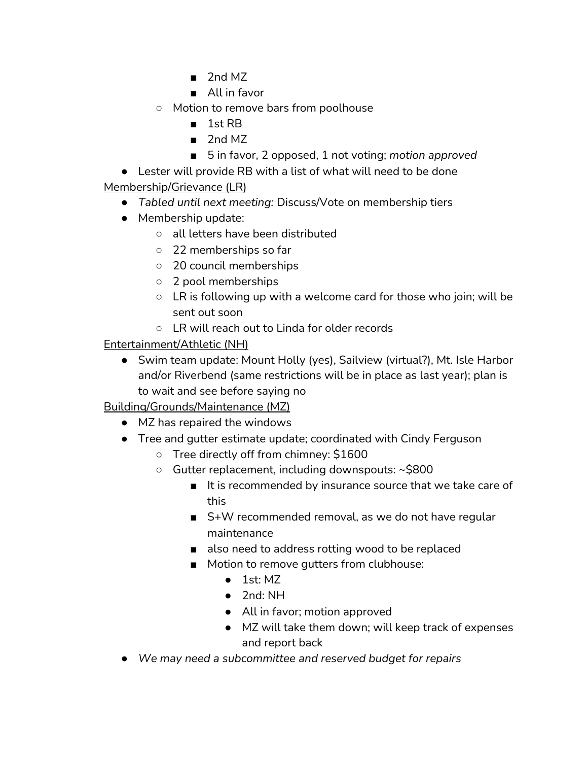- 2nd MZ
- All in favor
- Motion to remove bars from poolhouse
	- 1st RB
	- 2nd MZ
	- 5 in favor, 2 opposed, 1 not voting; *motion approved*

● Lester will provide RB with a list of what will need to be done Membership/Grievance (LR)

- *Tabled until next meeting:* Discuss/Vote on membership tiers
- Membership update:
	- all letters have been distributed
	- 22 memberships so far
	- 20 council memberships
	- 2 pool memberships
	- $\circ$  LR is following up with a welcome card for those who join; will be sent out soon
	- LR will reach out to Linda for older records

## Entertainment/Athletic (NH)

● Swim team update: Mount Holly (yes), Sailview (virtual?), Mt. Isle Harbor and/or Riverbend (same restrictions will be in place as last year); plan is to wait and see before saying no

Building/Grounds/Maintenance (MZ)

- MZ has repaired the windows
- Tree and gutter estimate update; coordinated with Cindy Ferguson
	- Tree directly off from chimney: \$1600
	- Gutter replacement, including downspouts: ~\$800
		- It is recommended by insurance source that we take care of this
		- S+W recommended removal, as we do not have regular maintenance
		- also need to address rotting wood to be replaced
		- Motion to remove gutters from clubhouse:
			- $\bullet$  1st: MZ
			- 2nd: NH
			- All in favor; motion approved
			- MZ will take them down; will keep track of expenses and report back
- *● We may need a subcommittee and reserved budget for repairs*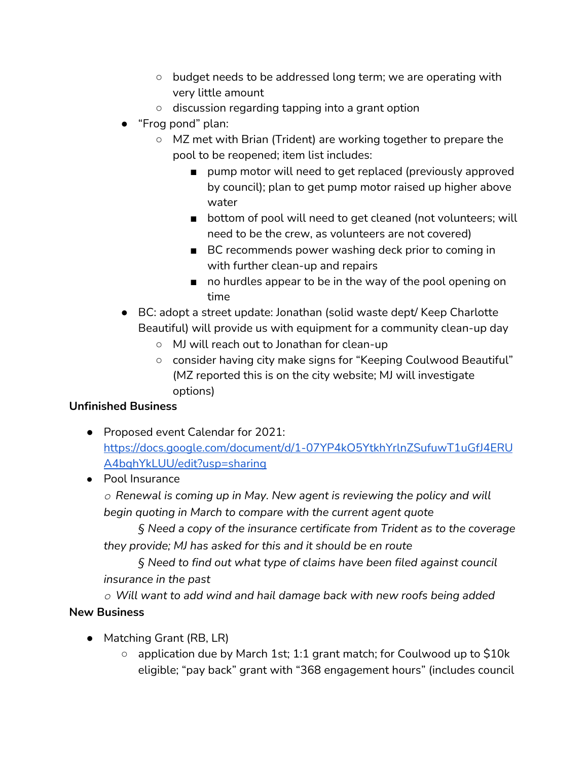- budget needs to be addressed long term; we are operating with very little amount
- discussion regarding tapping into a grant option
- "Frog pond" plan:
	- MZ met with Brian (Trident) are working together to prepare the pool to be reopened; item list includes:
		- pump motor will need to get replaced (previously approved by council); plan to get pump motor raised up higher above water
		- bottom of pool will need to get cleaned (not volunteers; will need to be the crew, as volunteers are not covered)
		- BC recommends power washing deck prior to coming in with further clean-up and repairs
		- no hurdles appear to be in the way of the pool opening on time
- BC: adopt a street update: Jonathan (solid waste dept/ Keep Charlotte Beautiful) will provide us with equipment for a community clean-up day
	- MJ will reach out to Jonathan for clean-up
	- consider having city make signs for "Keeping Coulwood Beautiful" (MZ reported this is on the city website; MJ will investigate options)

# **Unfinished Business**

- Proposed event Calendar for 2021: [https://docs.google.com/document/d/1-07YP4kO5YtkhYrlnZSufuwT1uGfJ4ERU](https://docs.google.com/document/d/1-07YP4kO5YtkhYrlnZSufuwT1uGfJ4ERUA4bqhYkLUU/edit?usp=sharing) [A4bqhYkLUU/edit?usp=sharing](https://docs.google.com/document/d/1-07YP4kO5YtkhYrlnZSufuwT1uGfJ4ERUA4bqhYkLUU/edit?usp=sharing)
- *●* Pool Insurance

*o Renewal is coming up in May. New agent is reviewing the policy and will begin quoting in March to compare with the current agent quote*

*§ Need a copy of the insurance certificate from Trident as to the coverage they provide; MJ has asked for this and it should be en route*

*§ Need to find out what type of claims have been filed against council insurance in the past*

*o Will want to add wind and hail damage back with new roofs being added* **New Business**

- Matching Grant (RB, LR)
	- application due by March 1st; 1:1 grant match; for Coulwood up to \$10k eligible; "pay back" grant with "368 engagement hours" (includes council